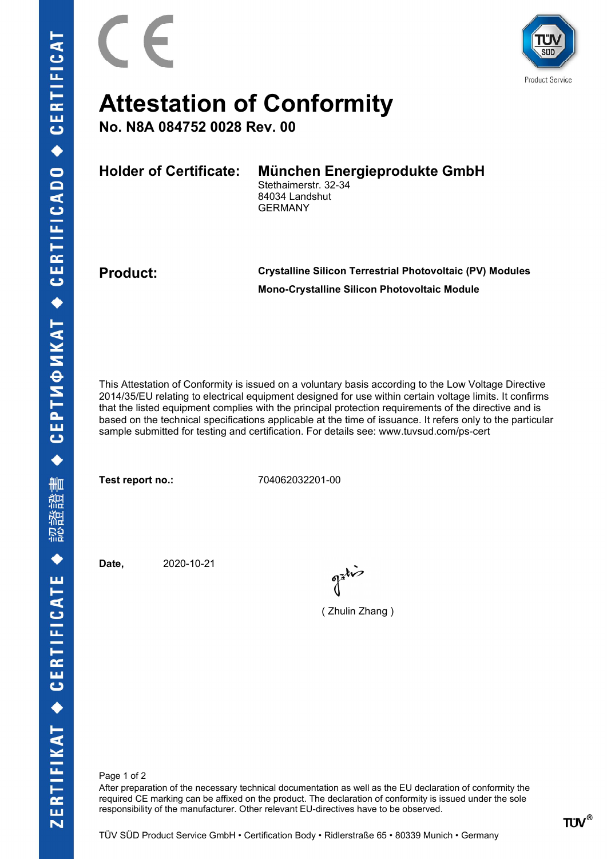

## Attestation of Conformity

No. N8A 084752 0028 Rev. 00

Holder of Certificate: München Energieprodukte GmbH Stethaimerstr. 32-34

84034 Landshut GERMANY

Product: Crystalline Silicon Terrestrial Photovoltaic (PV) Modules Mono-Crystalline Silicon Photovoltaic Module

This Attestation of Conformity is issued on a voluntary basis according to the Low Voltage Directive 2014/35/EU relating to electrical equipment designed for use within certain voltage limits. It confirms that the listed equipment complies with the principal protection requirements of the directive and is based on the technical specifications applicable at the time of issuance. It refers only to the particular sample submitted for testing and certification. For details see: www.tuvsud.com/ps-cert

Test report no.: 704062032201-00

Date, 2020-10-21

( Zhulin Zhang )

Page 1 of 2

After preparation of the necessary technical documentation as well as the EU declaration of conformity the required CE marking can be affixed on the product. The declaration of conformity is issued under the sole responsibility of the manufacturer. Other relevant EU-directives have to be observed.